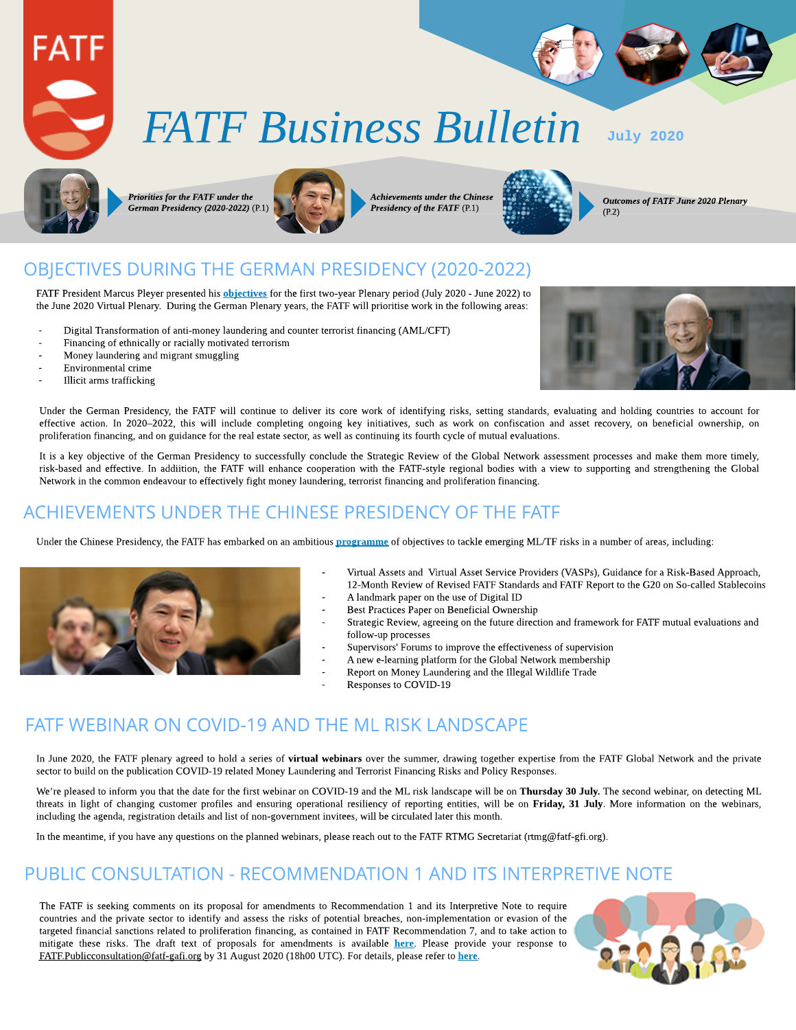

# **FATF** Business Bulletin July 2020



**Priorities for the FATF under the German Presidency(2020-2022)** (P.1)



**Achievementsunder theChinese Presidency of the FATF** (P.1)



**Outcomesof FATF June2020 Plenary** (P.2)

# OBJECTIVES DURING THE GERMAN PRESIDENCY (2020-2022)

FATF President Marcus Pleyer presented his **[objectives](https://www.fatf-gafi.org/media/fatf/documents/German-Presidency-Priorities.pdf)** for the first two-year Plenary period (July 2020 - June 2022) to the June 2020 Virtual Plenary. During the German Plenary years, the FATF will prioritise work in the following areas:

- Digital Transformation of anti-money laundering and counter terrorist financing (AML/CFT)
- Financing of ethnically or racially motivated terrorism
- Money laundering and migrant smuggling
- Environmental crime
- Illicit arms trafficking



Under the German Presidency, the FATF will continue to deliver its core work of identifying risks, setting standards, evaluating and holding countries to account for effective action. In 2020-2022, this will include completing ongoing key initiatives, such as work on confiscation and asset recovery, on beneficial ownership, on proliferation financing, and on guidance for the real estate sector, as well as continuing its fourth cycle of mutual evaluations.

It is a key objective of the German Presidency to successfully conclude the Strategic Review of the Global Network assessment processes and make them more timely, risk-based and effective. In addiition, the FATF will enhance cooperation with the FATF-style regional bodies with a view to supporting and strengthening the Global Network in thecommon endeavour to effectively fight money laundering, terrorist financing and proliferation financing.

## ACHIEVEMENTS UNDER THE CHINESE PRESIDENCY OF THE FATF

Under the Chinese Presidency, the FATF has embarked on an ambitious **[programme](https://www.fatf-gafi.org/publications/fatfgeneral/documents/chinese-presidency-outcomes.html)** of objectives to tackle emerging ML/TF risks in a number of areas, including:



- Virtual Assets and Virtual Asset Service Providers (VASPs), Guidance for a Risk-Based [Approach,](http://www.fatf-gafi.org/publications/fatfrecommendations/documents/guidance-rba-virtual-assets.html) [12-Month](http://www.fatf-gafi.org/publications/fatfrecommendations/documents/12-month-review-virtual-assets-vasps.html) [Review](http://www.fatf-gafi.org/publications/fatfrecommendations/documents/12-month-review-virtual-assets-vasps.html) [of](http://www.fatf-gafi.org/publications/fatfrecommendations/documents/12-month-review-virtual-assets-vasps.html) [Revised](http://www.fatf-gafi.org/publications/fatfrecommendations/documents/12-month-review-virtual-assets-vasps.html) [FATF](http://www.fatf-gafi.org/publications/virtualassets/documents/report-g20-so-called-stablecoins-june-2020.html?hf=10&b=0&s=desc(fatf_releasedate)) [Standards](http://www.fatf-gafi.org/publications/fatfrecommendations/documents/12-month-review-virtual-assets-vasps.html) and FATF [Report](http://www.fatf-gafi.org/publications/virtualassets/documents/report-g20-so-called-stablecoins-june-2020.html?hf=10&b=0&s=desc(fatf_releasedate)) [to](http://www.fatf-gafi.org/publications/virtualassets/documents/report-g20-so-called-stablecoins-june-2020.html?hf=10&b=0&s=desc(fatf_releasedate)) the G20 [on](http://www.fatf-gafi.org/publications/virtualassets/documents/report-g20-so-called-stablecoins-june-2020.html?hf=10&b=0&s=desc(fatf_releasedate)) [So-called](http://www.fatf-gafi.org/publications/virtualassets/documents/report-g20-so-called-stablecoins-june-2020.html?hf=10&b=0&s=desc(fatf_releasedate)) [Stablecoins](http://www.fatf-gafi.org/publications/virtualassets/documents/report-g20-so-called-stablecoins-june-2020.html?hf=10&b=0&s=desc(fatf_releasedate)) A landmark [paper](http://www.fatf-gafi.org/publications/fatfrecommendations/documents/digital-identity-guidance.html) [on](http://www.fatf-gafi.org/publications/fatfrecommendations/documents/digital-identity-guidance.html) [the](http://www.fatf-gafi.org/publications/fatfrecommendations/documents/digital-identity-guidance.html) use of [Digital](http://www.fatf-gafi.org/publications/fatfrecommendations/documents/digital-identity-guidance.html) [ID](http://www.fatf-gafi.org/publications/fatfrecommendations/documents/digital-identity-guidance.html)
- [Best](http://www.fatf-gafi.org/publications/fatfrecommendations/documents/best-practices-beneficial-ownership-legal-persons.html) Practices Paper [on](http://www.fatf-gafi.org/publications/fatfrecommendations/documents/best-practices-beneficial-ownership-legal-persons.html) [Beneficial](http://www.fatf-gafi.org/publications/fatfrecommendations/documents/best-practices-beneficial-ownership-legal-persons.html) [Ownership](http://www.fatf-gafi.org/publications/fatfrecommendations/documents/best-practices-beneficial-ownership-legal-persons.html)
- Strategic Review, agreeing on the future direction and framework for FATF mutual evaluations and follow-up processes
- Supervisors' Forums to improve the effectiveness of supervision
- A new e-learning platform for the Global Network membership
- [Report](http://www.fatf-gafi.org/publications/methodsandtrends/documents/money-laundering-wildlife-trade.html) [on](http://www.fatf-gafi.org/publications/methodsandtrends/documents/money-laundering-wildlife-trade.html) [Money](http://www.fatf-gafi.org/publications/methodsandtrends/documents/money-laundering-wildlife-trade.html) [Laundering](http://www.fatf-gafi.org/publications/methodsandtrends/documents/money-laundering-wildlife-trade.html) [and](http://www.fatf-gafi.org/publications/methodsandtrends/documents/money-laundering-wildlife-trade.html) the Illegal Wildlife Trade
- [Responses](http://www.fatf-gafi.org/media/fatf/documents/COVID-19-AML-CFT.pdf) [to](http://www.fatf-gafi.org/media/fatf/documents/COVID-19-AML-CFT.pdf) [COVID-19](http://www.fatf-gafi.org/media/fatf/documents/COVID-19-AML-CFT.pdf)

## FATE WEBINAR ON COVID-19 AND THE ML RISK LANDSCAPE

In June 2020, the FATF plenary agreed to hold a series of virtual webinars over the summer, drawing together expertise from the FATF Global Network and the private sector to build on the publication [COVID-19](http://It is a key objective of the German Presidency to successfully conclude the Strategic Review of the Global Network assessment processes and make them more timely, risk-based and effective. Under the German Presidency, the FATF will enhance cooperation with the FATF-style regional bodies (FSRBs) with a view to supporting and strengthening the Global Network in the common endeavour to effectively fight money laundering, terrorist financing and proliferation financing.) [related](http://It is a key objective of the German Presidency to successfully conclude the Strategic Review of the Global Network assessment processes and make them more timely, risk-based and effective. Under the German Presidency, the FATF will enhance cooperation with the FATF-style regional bodies (FSRBs) with a view to supporting and strengthening the Global Network in the common endeavour to effectively fight money laundering, terrorist financing and proliferation financing.) [Money](http://It is a key objective of the German Presidency to successfully conclude the Strategic Review of the Global Network assessment processes and make them more timely, risk-based and effective. Under the German Presidency, the FATF will enhance cooperation with the FATF-style regional bodies (FSRBs) with a view to supporting and strengthening the Global Network in the common endeavour to effectively fight money laundering, terrorist financing and proliferation financing.) [Laundering](http://It is a key objective of the German Presidency to successfully conclude the Strategic Review of the Global Network assessment processes and make them more timely, risk-based and effective. Under the German Presidency, the FATF will enhance cooperation with the FATF-style regional bodies (FSRBs) with a view to supporting and strengthening the Global Network in the common endeavour to effectively fight money laundering, terrorist financing and proliferation financing.) [and](http://It is a key objective of the German Presidency to successfully conclude the Strategic Review of the Global Network assessment processes and make them more timely, risk-based and effective. Under the German Presidency, the FATF will enhance cooperation with the FATF-style regional bodies (FSRBs) with a view to supporting and strengthening the Global Network in the common endeavour to effectively fight money laundering, terrorist financing and proliferation financing.) [Terrorist](http://It is a key objective of the German Presidency to successfully conclude the Strategic Review of the Global Network assessment processes and make them more timely, risk-based and effective. Under the German Presidency, the FATF will enhance cooperation with the FATF-style regional bodies (FSRBs) with a view to supporting and strengthening the Global Network in the common endeavour to effectively fight money laundering, terrorist financing and proliferation financing.) [Financing](http://It is a key objective of the German Presidency to successfully conclude the Strategic Review of the Global Network assessment processes and make them more timely, risk-based and effective. Under the German Presidency, the FATF will enhance cooperation with the FATF-style regional bodies (FSRBs) with a view to supporting and strengthening the Global Network in the common endeavour to effectively fight money laundering, terrorist financing and proliferation financing.) Risks and [Policy](http://It is a key objective of the German Presidency to successfully conclude the Strategic Review of the Global Network assessment processes and make them more timely, risk-based and effective. Under the German Presidency, the FATF will enhance cooperation with the FATF-style regional bodies (FSRBs) with a view to supporting and strengthening the Global Network in the common endeavour to effectively fight money laundering, terrorist financing and proliferation financing.) [Responses](http://It is a key objective of the German Presidency to successfully conclude the Strategic Review of the Global Network assessment processes and make them more timely, risk-based and effective. Under the German Presidency, the FATF will enhance cooperation with the FATF-style regional bodies (FSRBs) with a view to supporting and strengthening the Global Network in the common endeavour to effectively fight money laundering, terrorist financing and proliferation financing.).

We're pleased to inform you that the date for the first webinar on COVID-19 and the ML risk landscape will be on Thursday 30 July. The second webinar, on detecting ML threats in light of changing customer profiles and ensuring operational resiliency of reporting entities, will be on Friday, 31 July. More information on the webinars, including the agenda, registration details and list of non-government invitees, will be circulated later this month.

In the meantime, if you have any questions on the planned webinars, please reach out to the FATF RTMG Secretariat ([rtmg@fatf-gfi.org\)](mailto:rtmg@fatf-gfi.org)).

## PUBLIC CONSULTATION - RECOMMENDATION 1 AND ITSINTERPRETIVE NOTE

The FATF is seeking comments on its proposal for amendments to Recommendation 1 and its Interpretive Note to require countries and the private sector to identify and assess the risks of potential breaches, non-implementation or evasion of the targeted financial sanctions related to proliferation financing, as contained in FATF Recommendation 7, and to take action to mitigate these risks. The draft text of proposals for amendments is available [here](https://www.fatf-gafi.org/media/fatf/documents/PF-Public-Consultation-Draft-Amendments.docx). Please provide your response to FATF.Publicconsultation@fatf-gafi.org by 31 August 2020 (18h00 UTC). For details, please refer to [here](https://www.fatf-gafi.org/publications/fatfrecommendations/documents/consultation-recommendation-1.html).